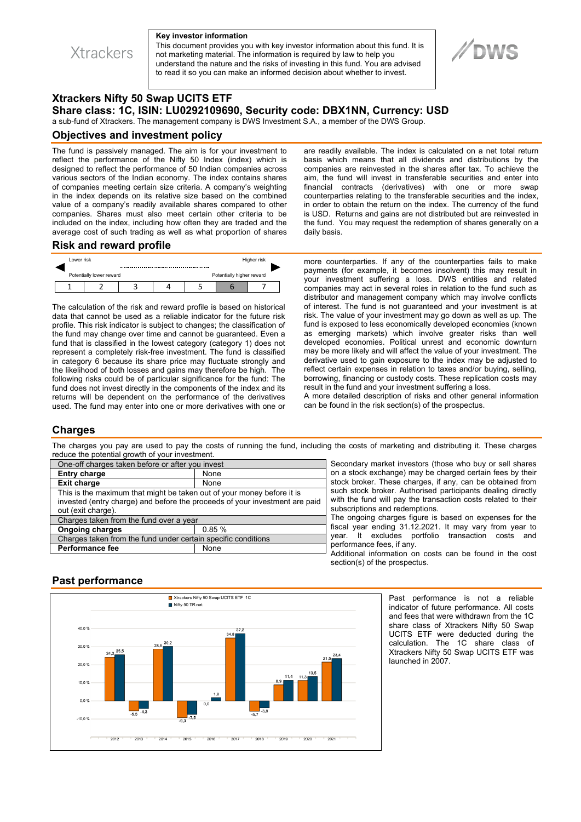**Xtrackers** 

#### **Key investor information**

This document provides you with key investor information about this fund. It is not marketing material. The information is required by law to help you understand the nature and the risks of investing in this fund. You are advised to read it so you can make an informed decision about whether to invest.

# **DWS**

# **Xtrackers Nifty 50 Swap UCITS ETF Share class: 1C, ISIN: LU0292109690, Security code: DBX1NN, Currency: USD**

a sub-fund of Xtrackers. The management company is DWS Investment S.A., a member of the DWS Group.

#### **Objectives and investment policy**

The fund is passively managed. The aim is for your investment to reflect the performance of the Nifty 50 Index (index) which is designed to reflect the performance of 50 Indian companies across various sectors of the Indian economy. The index contains shares of companies meeting certain size criteria. A company's weighting in the index depends on its relative size based on the combined value of a company's readily available shares compared to other companies. Shares must also meet certain other criteria to be included on the index, including how often they are traded and the average cost of such trading as well as what proportion of shares are readily available. The index is calculated on a net total return basis which means that all dividends and distributions by the companies are reinvested in the shares after tax. To achieve the aim, the fund will invest in transferable securities and enter into financial contracts (derivatives) with one or more swap counterparties relating to the transferable securities and the index, in order to obtain the return on the index. The currency of the fund is USD. Returns and gains are not distributed but are reinvested in the fund. You may request the redemption of shares generally on a daily basis.

## **Risk and reward profile**



The calculation of the risk and reward profile is based on historical data that cannot be used as a reliable indicator for the future risk profile. This risk indicator is subject to changes; the classification of the fund may change over time and cannot be guaranteed. Even a fund that is classified in the lowest category (category 1) does not represent a completely risk-free investment. The fund is classified in category 6 because its share price may fluctuate strongly and the likelihood of both losses and gains may therefore be high. The following risks could be of particular significance for the fund: The fund does not invest directly in the components of the index and its returns will be dependent on the performance of the derivatives used. The fund may enter into one or more derivatives with one or

more counterparties. If any of the counterparties fails to make payments (for example, it becomes insolvent) this may result in your investment suffering a loss. DWS entities and related companies may act in several roles in relation to the fund such as distributor and management company which may involve conflicts of interest. The fund is not guaranteed and your investment is at risk. The value of your investment may go down as well as up. The fund is exposed to less economically developed economies (known as emerging markets) which involve greater risks than well developed economies. Political unrest and economic downturn may be more likely and will affect the value of your investment. The derivative used to gain exposure to the index may be adjusted to reflect certain expenses in relation to taxes and/or buying, selling, borrowing, financing or custody costs. These replication costs may result in the fund and your investment suffering a loss.

A more detailed description of risks and other general information can be found in the risk section(s) of the prospectus.

## **Charges**

The charges you pay are used to pay the costs of running the fund, including the costs of marketing and distributing it. These charges reduce the potential growth of your investment.

| One-off charges taken before or after you invest                                                                                                                            |       |
|-----------------------------------------------------------------------------------------------------------------------------------------------------------------------------|-------|
| <b>Entry charge</b>                                                                                                                                                         | None  |
| <b>Exit charge</b>                                                                                                                                                          | None  |
| This is the maximum that might be taken out of your money before it is<br>invested (entry charge) and before the proceeds of your investment are paid<br>out (exit charge). |       |
| Charges taken from the fund over a year                                                                                                                                     |       |
| <b>Ongoing charges</b>                                                                                                                                                      | 0.85% |
| Charges taken from the fund under certain specific conditions                                                                                                               |       |
| <b>Performance fee</b>                                                                                                                                                      | None  |

Secondary market investors (those who buy or sell shares on a stock exchange) may be charged certain fees by their stock broker. These charges, if any, can be obtained from such stock broker. Authorised participants dealing directly with the fund will pay the transaction costs related to their subscriptions and redemptions.

The ongoing charges figure is based on expenses for the fiscal year ending 31.12.2021. It may vary from year to year. It excludes portfolio transaction costs and performance fees, if any.

Additional information on costs can be found in the cost section(s) of the prospectus.

## **Past performance**



Past performance is not a reliable indicator of future performance. All costs and fees that were withdrawn from the 1C share class of Xtrackers Nifty 50 Swap UCITS ETF were deducted during the calculation. The 1C share class of Xtrackers Nifty 50 Swap UCITS ETF was launched in 2007.